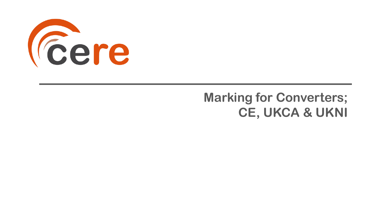

# **Marking for Converters; CE, UKCA & UKNI**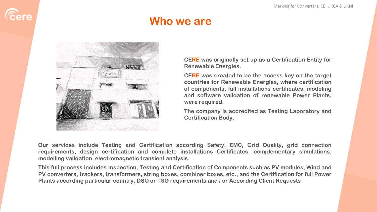

### **Who we are**



**CERE was originally set up as a Certification Entity for Renewable Energies.**

**CERE was created to be the access key on the target countries for Renewable Energies, where certification of components, full installations certificates, modeling and software validation of renewable Power Plants, were required.**

**The company is accredited as Testing Laboratory and Certification Body.**

**Our services include Testing and Certification according Safety, EMC, Grid Quality, grid connection requirements, design certification and complete installations Certificates, complementary simulations, modelling validation, electromagnetic transient analysis.**

**This full process includes Inspection, Testing and Certification of Components such as PV modules, Wind and PV converters, trackers, transformers, string boxes, combiner boxes, etc., and the Certification for full Power Plants according particular country, DSO or TSO requirements and / or According Client Requests**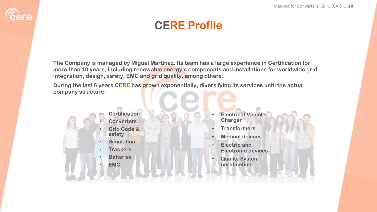## **CERE Profile**

**The Company is managed by Miguel Martínez. Its team has a large experience in Certification for more than 10 years, including renewable energy's components and installations for worldwide grid integration, design, safety, EMC and grid quality, among others.**

**During the last 6 years CERE has grown exponentially, diversifying its services until the actual company structure:**



*Cere* 

- **Electrical Vehicle Charger**
- **Transformers**
- **Medical devices**
- **Electric and Electronic devices**
- **Quality System certification**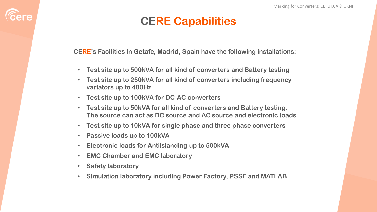### **CERE Capabilities**

**CERE's Facilities in Getafe, Madrid, Spain have the following installations:**

- **Test site up to 500kVA for all kind of converters and Battery testing**
- **Test site up to 250kVA for all kind of converters including frequency variators up to 400Hz**
- **Test site up to 100kVA for DC-AC converters**
- **Test site up to 50kVA for all kind of converters and Battery testing. The source can act as DC source and AC source and electronic loads**
- **Test site up to 10kVA for single phase and three phase converters**
- **Passive loads up to 100kVA**
- **Electronic loads for Antiislanding up to 500kVA**
- **EMC Chamber and EMC laboratory**
- **Safety laboratory**

*<u>Cere</u>* 

• **Simulation laboratory including Power Factory, PSSE and MATLAB**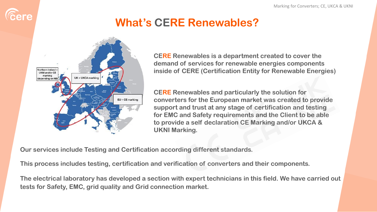

# **What's CERE Renewables?**



**CERE Renewables is a department created to cover the demand of services for renewable energies components inside of CERE (Certification Entity for Renewable Energies)**

**CERE Renewables and particularly the solution for converters for the European market was created to provide support and trust at any stage of certification and testing for EMC and Safety requirements and the Client to be able to provide a self declaration CE Marking and/or UKCA & UKNI Marking.**

**Our services include Testing and Certification according different standards.**

**This process includes testing, certification and verification of converters and their components.**

**The electrical laboratory has developed a section with expert technicians in this field. We have carried out tests for Safety, EMC, grid quality and Grid connection market.**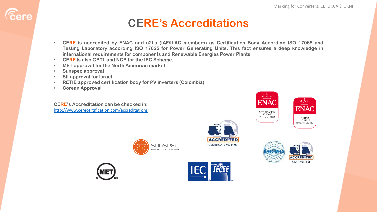#### **CERE's Accreditations**

- **CERE is accredited by ENAC and a2La (IAF/ILAC members) as Certification Body According ISO 17065 and Testing Laboratory according ISO 17025 for Power Generating Units. This fact ensures a deep knowledge in international requirements for components and Renewable Energies Power Plants.**
- **CERE is also CBTL and NCB for the IEC Scheme.**
- **MET approval for the North American market**
- **Sunspec approval**

*Cere* 

- **SII approval for Israel**
- **RETIE approved certification body for PV inverters (Colombia)**
- **Corean Approval**

**CERE's Accreditation can be checked in:** <http://www.cerecertification.com/accreditations>









**ACCREDITED** CERTIFICATE #5314.03





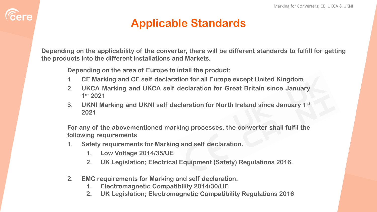### **Applicable Standards**

**Depending on the applicability of the converter, there will be different standards to fulfill for getting the products into the different installations and Markets.**

**Depending on the area of Europe to intall the product:**

- **1. CE Marking and CE self declaration for all Europe except United Kingdom**
- **2. UKCA Marking and UKCA self declaration for Great Britain since January 1 st 2021**
- **3. UKNI Marking and UKNI self declaration for North Ireland since January 1 st 2021**

**For any of the abovementioned marking processes, the converter shall fulfil the following requirements**

- **1. Safety requirements for Marking and self declaration.**
	- **1. Low Voltage 2014/35/UE**

**Eere** 

- **2. UK Legislation; Electrical Equipment (Safety) Regulations 2016.**
- **2. EMC requirements for Marking and self declaration.**
	- **1. Electromagnetic Compatibility 2014/30/UE**
	- **2. UK Legislation; Electromagnetic Compatibility Regulations 2016**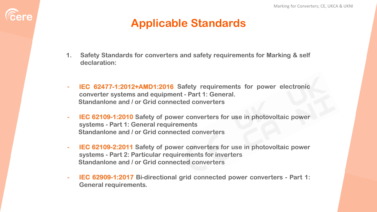### **Applicable Standards**

**Eere** 

- **1. Safety Standards for converters and safety requirements for Marking & self declaration:**
- **- IEC 62477-1:2012+AMD1:2016 Safety requirements for power electronic converter systems and equipment - Part 1: General. Standanlone and / or Grid connected converters**
- **- IEC 62109-1:2010 Safety of power converters for use in photovoltaic power systems - Part 1: General requirements Standanlone and / or Grid connected converters**
- **- IEC 62109-2:2011 Safety of power converters for use in photovoltaic power systems - Part 2: Particular requirements for inverters Standanlone and / or Grid connected converters**
- **- IEC 62909-1:2017 Bi-directional grid connected power converters - Part 1: General requirements.**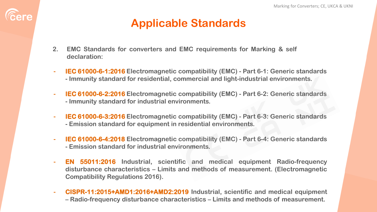### **Applicable Standards**

**2. EMC Standards for converters and EMC requirements for Marking & self declaration:**

*<u>Cere</u>* 

- **- IEC 61000-6-1:2016 Electromagnetic compatibility (EMC) - Part 6-1: Generic standards - Immunity standard for residential, commercial and light-industrial environments.**
- **- IEC 61000-6-2:2016 Electromagnetic compatibility (EMC) - Part 6-2: Generic standards - Immunity standard for industrial environments.**
- **- IEC 61000-6-3:2016 Electromagnetic compatibility (EMC) - Part 6-3: Generic standards - Emission standard for equipment in residential environments.**
- **- IEC 61000-6-4:2018 Electromagnetic compatibility (EMC) - Part 6-4: Generic standards - Emission standard for industrial environments.**
- **- EN 55011:2016 Industrial, scientific and medical equipment Radio-frequency disturbance characteristics – Limits and methods of measurement. (Electromagnetic Compatibility Regulations 2016).**
- **- CISPR-11:2015+AMD1:2016+AMD2:2019 Industrial, scientific and medical equipment – Radio-frequency disturbance characteristics – Limits and methods of measurement.**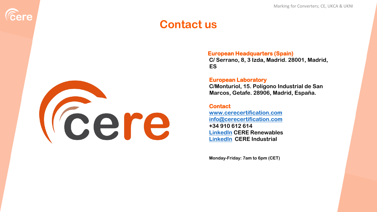#### **Contact us**



**Eere** 

#### **European Headquarters (Spain)**

**C/ Serrano, 8, 3 Izda, Madrid. 28001, Madrid, ES**

#### **European Laboratory**

**C/Monturiol, 15. Polígono Industrial de San Marcos, Getafe. 28906, Madrid, España.**

#### **Contact**

**[www.cerecertification.com](http://www.cerecertification.com/) [info@cerecertification.com](mailto:info@cerecertification.com) +34 910 612 614 [LinkedIn](https://www.linkedin.com/company/cerecertification) CERE Renewables [LinkedIn](https://www.linkedin.com/company/cere-industrial) CERE Industrial**

**Monday-Friday: 7am to 6pm (CET)**